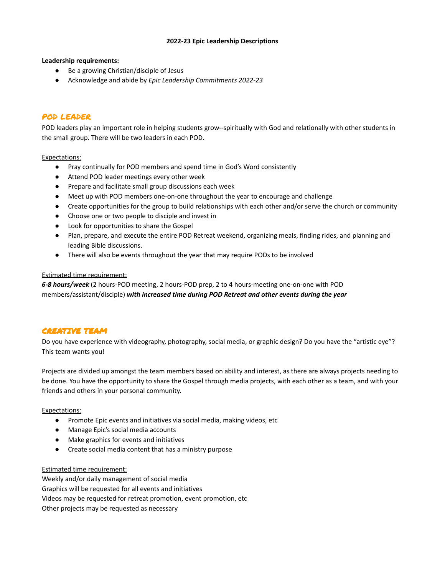### **2022-23 Epic Leadership Descriptions**

#### **Leadership requirements:**

- Be a growing Christian/disciple of Jesus
- Acknowledge and abide by *Epic Leadership Commitments 2022-23*

## POD LEADER

POD leaders play an important role in helping students grow--spiritually with God and relationally with other students in the small group. There will be two leaders in each POD.

#### Expectations:

- Pray continually for POD members and spend time in God's Word consistently
- Attend POD leader meetings every other week
- Prepare and facilitate small group discussions each week
- Meet up with POD members one-on-one throughout the year to encourage and challenge
- Create opportunities for the group to build relationships with each other and/or serve the church or community
- Choose one or two people to disciple and invest in
- Look for opportunities to share the Gospel
- Plan, prepare, and execute the entire POD Retreat weekend, organizing meals, finding rides, and planning and leading Bible discussions.
- There will also be events throughout the year that may require PODs to be involved

#### Estimated time requirement:

*6-8 hours/week* (2 hours-POD meeting, 2 hours-POD prep, 2 to 4 hours-meeting one-on-one with POD members/assistant/disciple) *with increased time during POD Retreat and other events during the year*

## CREATIVE TEAM

Do you have experience with videography, photography, social media, or graphic design? Do you have the "artistic eye"? This team wants you!

Projects are divided up amongst the team members based on ability and interest, as there are always projects needing to be done. You have the opportunity to share the Gospel through media projects, with each other as a team, and with your friends and others in your personal community.

### Expectations:

- Promote Epic events and initiatives via social media, making videos, etc
- Manage Epic's social media accounts
- Make graphics for events and initiatives
- Create social media content that has a ministry purpose

### Estimated time requirement:

Weekly and/or daily management of social media Graphics will be requested for all events and initiatives Videos may be requested for retreat promotion, event promotion, etc Other projects may be requested as necessary